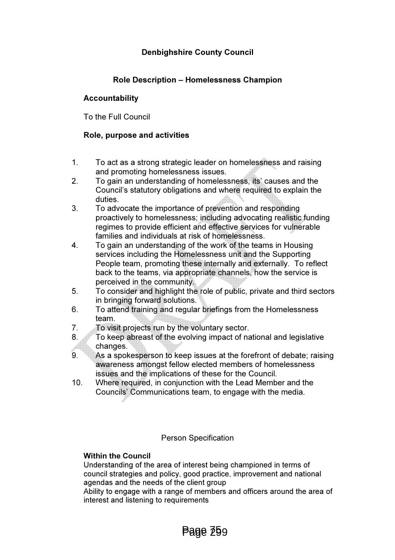# Denbighshire County Council

# Role Description – Homelessness Champion

## Accountability

To the Full Council

## Role, purpose and activities

- 1. To act as a strong strategic leader on homelessness and raising and promoting homelessness issues.
- 2. To gain an understanding of homelessness, its' causes and the Council's statutory obligations and where required to explain the duties.
- 3. To advocate the importance of prevention and responding proactively to homelessness; including advocating realistic funding regimes to provide efficient and effective services for vulnerable families and individuals at risk of homelessness.
- 4. To gain an understanding of the work of the teams in Housing services including the Homelessness unit and the Supporting People team, promoting these internally and externally. To reflect back to the teams, via appropriate channels, how the service is perceived in the community.
- 5. To consider and highlight the role of public, private and third sectors in bringing forward solutions.
- 6. To attend training and regular briefings from the Homelessness team.
- 7. To visit projects run by the voluntary sector.
- 8. To keep abreast of the evolving impact of national and legislative changes.
- 9. As a spokesperson to keep issues at the forefront of debate; raising awareness amongst fellow elected members of homelessness issues and the implications of these for the Council.
- 10. Where required, in conjunction with the Lead Member and the Councils' Communications team, to engage with the media.

### Person Specification

### Within the Council

 Understanding of the area of interest being championed in terms of council strategies and policy, good practice, improvement and national agendas and the needs of the client group

 Ability to engage with a range of members and officers around the area of interest and listening to requirements